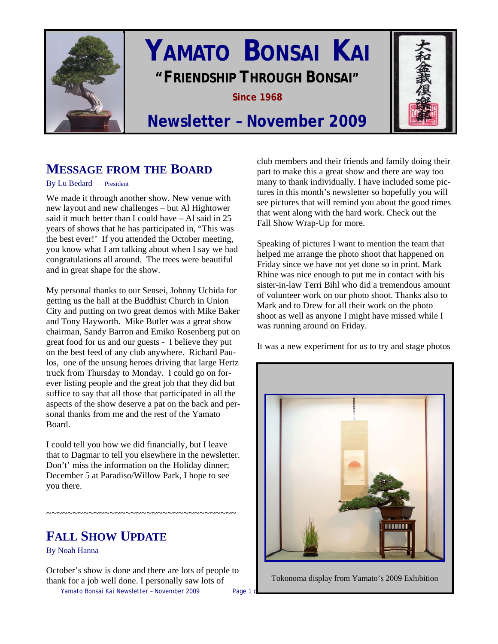

# **YAMATO BONSAI KAI "FRIENDSHIP THROUGH BONSAI"**

**Since 1968** 



# **Newsletter – November 2009**

# **MESSAGE FROM THE BOARD**

By Lu Bedard – President

We made it through another show. New venue with new layout and new challenges – but Al Hightower said it much better than I could have – Al said in 25 years of shows that he has participated in, "This was the best ever!' If you attended the October meeting, you know what I am talking about when I say we had congratulations all around. The trees were beautiful and in great shape for the show.

My personal thanks to our Sensei, Johnny Uchida for getting us the hall at the Buddhist Church in Union City and putting on two great demos with Mike Baker and Tony Hayworth. Mike Butler was a great show chairman, Sandy Barron and Emiko Rosenberg put on great food for us and our guests - I believe they put on the best feed of any club anywhere. Richard Paulos, one of the unsung heroes driving that large Hertz truck from Thursday to Monday. I could go on forever listing people and the great job that they did but suffice to say that all those that participated in all the aspects of the show deserve a pat on the back and personal thanks from me and the rest of the Yamato Board.

I could tell you how we did financially, but I leave that to Dagmar to tell you elsewhere in the newsletter. Don't' miss the information on the Holiday dinner; December 5 at Paradiso/Willow Park, I hope to see you there.

# **FALL SHOW UPDATE**

~~~~~~~~~~~~~~~~~~~~~~~~~~~~~~~~~~~~

By Noah Hanna

October's show is done and there are lots of people to thank for a job well done. I personally saw lots of

Yamato Bonsai Kai Newsletter - November 2009 Page 1 d

club members and their friends and family doing their part to make this a great show and there are way too many to thank individually. I have included some pictures in this month's newsletter so hopefully you will see pictures that will remind you about the good times that went along with the hard work. Check out the Fall Show Wrap-Up for more.

Speaking of pictures I want to mention the team that helped me arrange the photo shoot that happened on Friday since we have not yet done so in print. Mark Rhine was nice enough to put me in contact with his sister-in-law Terri Bihl who did a tremendous amount of volunteer work on our photo shoot. Thanks also to Mark and to Drew for all their work on the photo shoot as well as anyone I might have missed while I was running around on Friday.

It was a new experiment for us to try and stage photos



Tokonoma display from Yamato's 2009 Exhibition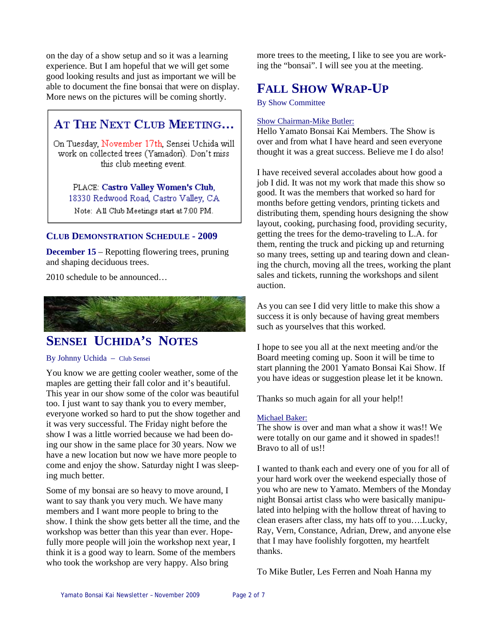on the day of a show setup and so it was a learning experience. But I am hopeful that we will get some good looking results and just as important we will be able to document the fine bonsai that were on display. More news on the pictures will be coming shortly.

## AT THE NEXT CLUB MEETING...

On Tuesday, November 17th, Sensei Uchida will work on collected trees (Yamadori). Don't miss this club meeting event.

PLACE: Castro Valley Women's Club, 18330 Redwood Road, Castro Valley, CA Note: All Club Meetings start at 7:00 PM.

## **CLUB DEMONSTRATION SCHEDULE - 2009**

**December 15** – Repotting flowering trees, pruning and shaping deciduous trees.

2010 schedule to be announced…



# **SENSEI UCHIDA'S NOTES**

### By Johnny Uchida – Club Sensei

You know we are getting cooler weather, some of the maples are getting their fall color and it's beautiful. This year in our show some of the color was beautiful too. I just want to say thank you to every member, everyone worked so hard to put the show together and it was very successful. The Friday night before the show I was a little worried because we had been doing our show in the same place for 30 years. Now we have a new location but now we have more people to come and enjoy the show. Saturday night I was sleeping much better.

Some of my bonsai are so heavy to move around, I want to say thank you very much. We have many members and I want more people to bring to the show. I think the show gets better all the time, and the workshop was better than this year than ever. Hopefully more people will join the workshop next year, I think it is a good way to learn. Some of the members who took the workshop are very happy. Also bring

more trees to the meeting, I like to see you are working the "bonsai". I will see you at the meeting.

# **FALL SHOW WRAP-UP**

By Show Committee

## Show Chairman-Mike Butler:

Hello Yamato Bonsai Kai Members. The Show is over and from what I have heard and seen everyone thought it was a great success. Believe me I do also!

I have received several accolades about how good a job I did. It was not my work that made this show so good. It was the members that worked so hard for months before getting vendors, printing tickets and distributing them, spending hours designing the show layout, cooking, purchasing food, providing security, getting the trees for the demo-traveling to L.A. for them, renting the truck and picking up and returning so many trees, setting up and tearing down and cleaning the church, moving all the trees, working the plant sales and tickets, running the workshops and silent auction.

As you can see I did very little to make this show a success it is only because of having great members such as yourselves that this worked.

I hope to see you all at the next meeting and/or the Board meeting coming up. Soon it will be time to start planning the 2001 Yamato Bonsai Kai Show. If you have ideas or suggestion please let it be known.

Thanks so much again for all your help!!

### Michael Baker:

The show is over and man what a show it was!! We were totally on our game and it showed in spades!! Bravo to all of us!!

I wanted to thank each and every one of you for all of your hard work over the weekend especially those of you who are new to Yamato. Members of the Monday night Bonsai artist class who were basically manipulated into helping with the hollow threat of having to clean erasers after class, my hats off to you….Lucky, Ray, Vern, Constance, Adrian, Drew, and anyone else that I may have foolishly forgotten, my heartfelt thanks.

To Mike Butler, Les Ferren and Noah Hanna my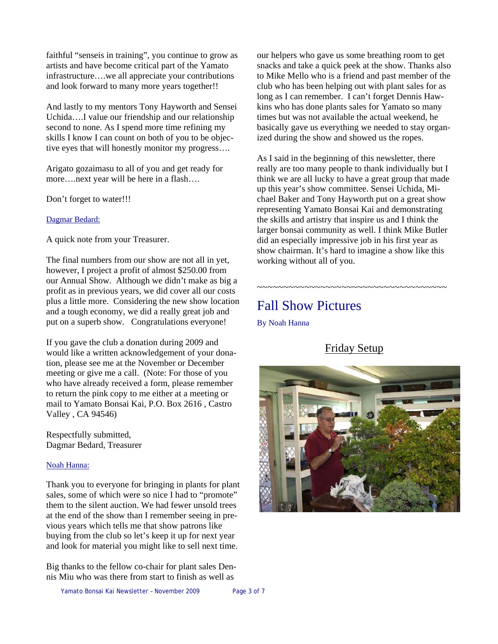faithful "senseis in training", you continue to grow as artists and have become critical part of the Yamato infrastructure….we all appreciate your contributions and look forward to many more years together!!

And lastly to my mentors Tony Hayworth and Sensei Uchida….I value our friendship and our relationship second to none. As I spend more time refining my skills I know I can count on both of you to be objective eyes that will honestly monitor my progress….

Arigato gozaimasu to all of you and get ready for more….next year will be here in a flash….

Don't forget to water!!!

Dagmar Bedard:

A quick note from your Treasurer.

The final numbers from our show are not all in yet, however, I project a profit of almost \$250.00 from our Annual Show. Although we didn't make as big a profit as in previous years, we did cover all our costs plus a little more. Considering the new show location and a tough economy, we did a really great job and put on a superb show. Congratulations everyone!

If you gave the club a donation during 2009 and would like a written acknowledgement of your donation, please see me at the November or December meeting or give me a call. (Note: For those of you who have already received a form, please remember to return the pink copy to me either at a meeting or mail to Yamato Bonsai Kai, P.O. Box 2616 , Castro Valley , CA 94546)

Respectfully submitted, Dagmar Bedard, Treasurer

#### Noah Hanna:

Thank you to everyone for bringing in plants for plant sales, some of which were so nice I had to "promote" them to the silent auction. We had fewer unsold trees at the end of the show than I remember seeing in previous years which tells me that show patrons like buying from the club so let's keep it up for next year and look for material you might like to sell next time.

Big thanks to the fellow co-chair for plant sales Dennis Miu who was there from start to finish as well as

our helpers who gave us some breathing room to get snacks and take a quick peek at the show. Thanks also to Mike Mello who is a friend and past member of the club who has been helping out with plant sales for as long as I can remember. I can't forget Dennis Hawkins who has done plants sales for Yamato so many times but was not available the actual weekend, he basically gave us everything we needed to stay organized during the show and showed us the ropes.

As I said in the beginning of this newsletter, there really are too many people to thank individually but I think we are all lucky to have a great group that made up this year's show committee. Sensei Uchida, Michael Baker and Tony Hayworth put on a great show representing Yamato Bonsai Kai and demonstrating the skills and artistry that inspire us and I think the larger bonsai community as well. I think Mike Butler did an especially impressive job in his first year as show chairman. It's hard to imagine a show like this working without all of you.

# Fall Show Pictures

By Noah Hanna

## Friday Setup

~~~~~~~~~~~~~~~~~~~~~~~~~~~~~~~~~~~~

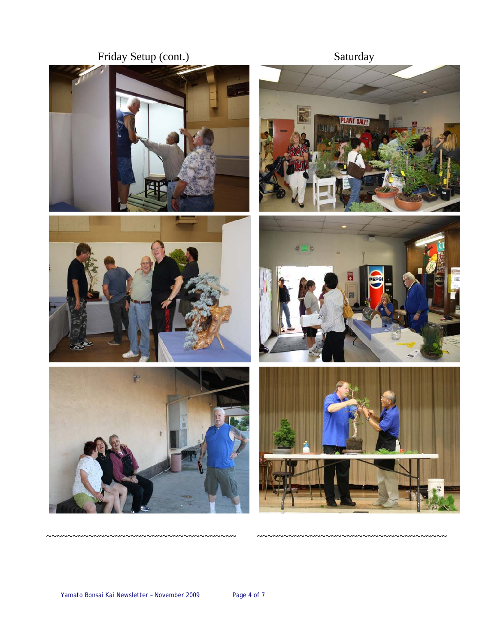# Friday Setup (cont.)













 $\sim$ ~~~~~~~~~~~~~~~~~

~~~~~~~~~~~~~~~~~~~~~~~~~~~~~~~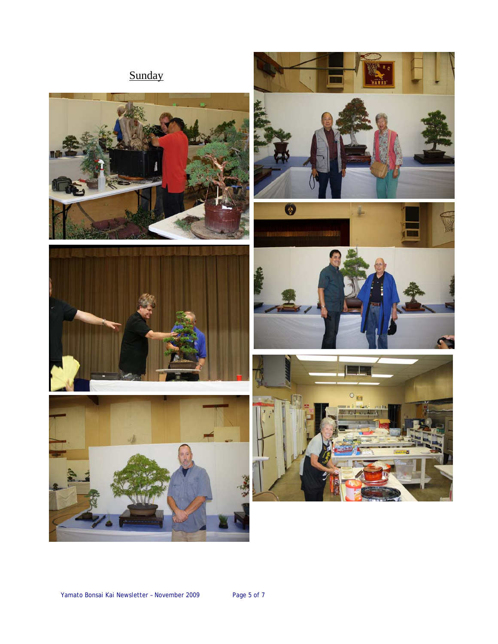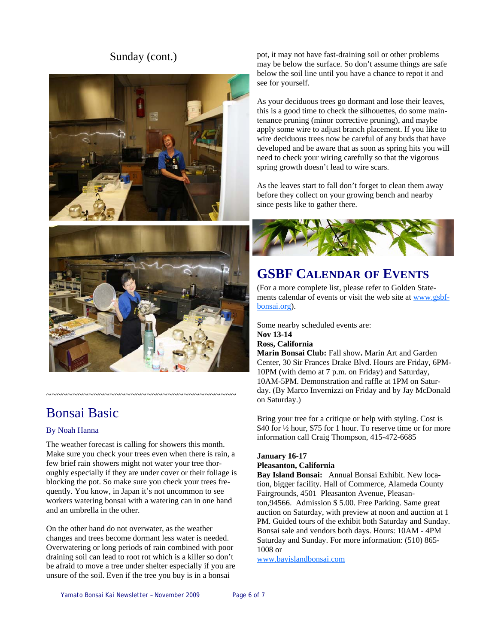## Sunday (cont.)





# Bonsai Basic

### By Noah Hanna

The weather forecast is calling for showers this month. Make sure you check your trees even when there is rain, a few brief rain showers might not water your tree thoroughly especially if they are under cover or their foliage is blocking the pot. So make sure you check your trees frequently. You know, in Japan it's not uncommon to see workers watering bonsai with a watering can in one hand and an umbrella in the other.

~~~~~~~~~~~~~~~~~~~~~~~~~~~~~~~~~~~~

On the other hand do not overwater, as the weather changes and trees become dormant less water is needed. Overwatering or long periods of rain combined with poor draining soil can lead to root rot which is a killer so don't be afraid to move a tree under shelter especially if you are unsure of the soil. Even if the tree you buy is in a bonsai

pot, it may not have fast-draining soil or other problems may be below the surface. So don't assume things are safe below the soil line until you have a chance to repot it and see for yourself.

As your deciduous trees go dormant and lose their leaves, this is a good time to check the silhouettes, do some maintenance pruning (minor corrective pruning), and maybe apply some wire to adjust branch placement. If you like to wire deciduous trees now be careful of any buds that have developed and be aware that as soon as spring hits you will need to check your wiring carefully so that the vigorous spring growth doesn't lead to wire scars.

As the leaves start to fall don't forget to clean them away before they collect on your growing bench and nearby since pests like to gather there.



# **GSBF CALENDAR OF EVENTS**

(For a more complete list, please refer to Golden Statements calendar of events or visit the web site at [www.gsbf](http://www.gsbf-bonsai.org/)[bonsai.org](http://www.gsbf-bonsai.org/)).

Some nearby scheduled events are:

## **Nov 13-14**

## **Ross, California**

**Marin Bonsai Club:** Fall show**.** Marin Art and Garden Center, 30 Sir Frances Drake Blvd. Hours are Friday, 6PM-10PM (with demo at 7 p.m. on Friday) and Saturday, 10AM-5PM. Demonstration and raffle at 1PM on Saturday. (By Marco Invernizzi on Friday and by Jay McDonald on Saturday.)

Bring your tree for a critique or help with styling. Cost is \$40 for ½ hour, \$75 for 1 hour. To reserve time or for more information call Craig Thompson, 415-472-6685

#### **January 16-17 Pleasanton, California**

**Bay Island Bonsai:** Annual Bonsai Exhibit. New location, bigger facility. Hall of Commerce, Alameda County Fairgrounds, 4501 Pleasanton Avenue, Pleasanton,94566. Admission \$ 5.00. Free Parking. Same great auction on Saturday, with preview at noon and auction at 1 PM. Guided tours of the exhibit both Saturday and Sunday. Bonsai sale and vendors both days. Hours: 10AM - 4PM Saturday and Sunday. For more information: (510) 865- 1008 or

[www.bayislandbonsai.com](http://www.bayislandbonsai.com)